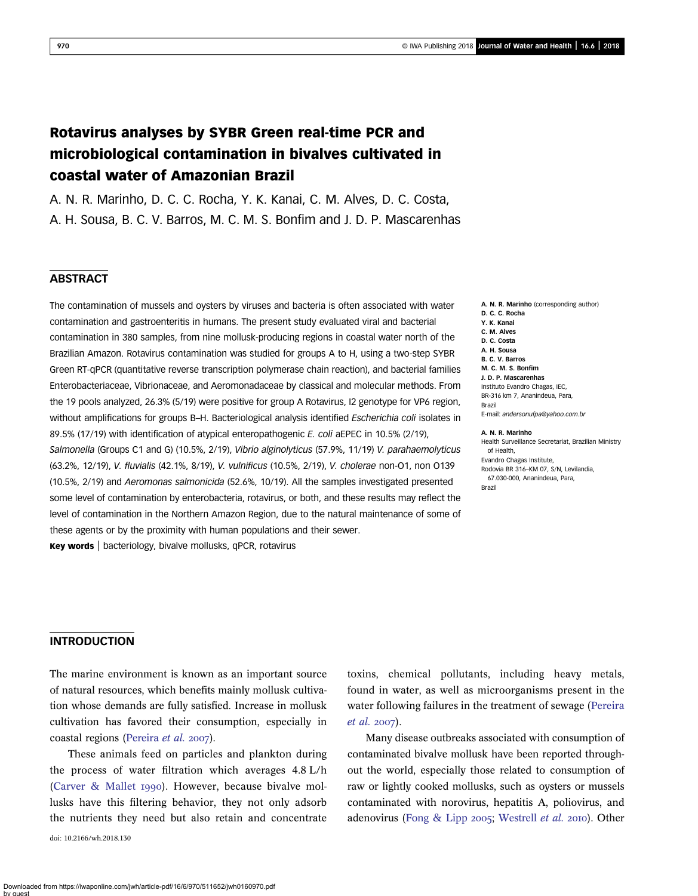# Rotavirus analyses by SYBR Green real-time PCR and microbiological contamination in bivalves cultivated in coastal water of Amazonian Brazil

A. N. R. Marinho, D. C. C. Rocha, Y. K. Kanai, C. M. Alves, D. C. Costa, A. H. Sousa, B. C. V. Barros, M. C. M. S. Bonfim and J. D. P. Mascarenhas

# **ABSTRACT**

The contamination of mussels and oysters by viruses and bacteria is often associated with water contamination and gastroenteritis in humans. The present study evaluated viral and bacterial contamination in 380 samples, from nine mollusk-producing regions in coastal water north of the Brazilian Amazon. Rotavirus contamination was studied for groups A to H, using a two-step SYBR Green RT-qPCR (quantitative reverse transcription polymerase chain reaction), and bacterial families Enterobacteriaceae, Vibrionaceae, and Aeromonadaceae by classical and molecular methods. From the 19 pools analyzed, 26.3% (5/19) were positive for group A Rotavirus, I2 genotype for VP6 region, without amplifications for groups B-H. Bacteriological analysis identified Escherichia coli isolates in 89.5% (17/19) with identification of atypical enteropathogenic E. coli aEPEC in 10.5% (2/19), Salmonella (Groups C1 and G) (10.5%, 2/19), Vibrio alginolyticus (57.9%, 11/19) V. parahaemolyticus (63.2%, 12/19), V. fluvialis (42.1%, 8/19), V. vulnificus (10.5%, 2/19), V. cholerae non-O1, non O139 (10.5%, 2/19) and Aeromonas salmonicida (52.6%, 10/19). All the samples investigated presented some level of contamination by enterobacteria, rotavirus, or both, and these results may reflect the level of contamination in the Northern Amazon Region, due to the natural maintenance of some of these agents or by the proximity with human populations and their sewer.

Key words | bacteriology, bivalve mollusks, qPCR, rotavirus

A. N. R. Marinho (corresponding author) D. C. C. Rocha Y. K. Kanai C. M. Alves D. C. Costa A. H. Sousa B. C. V. Barros M. C. M. S. Bonfim J. D. P. Mascarenhas Instituto Evandro Chagas, IEC, BR-316 km 7, Ananindeua, Para, Brazil E-mail: [andersonufpa@yahoo.com.br](mailto:andersonufpa@yahoo.com.br) A. N. R. Marinho Health Surveillance Secretariat, Brazilian Ministry of Health,

Evandro Chagas Institute, Rodovia BR 316–KM 07, S/N, Levilandia, 67.030-000, Ananindeua, Para, Brazil

#### INTRODUCTION

The marine environment is known as an important source of natural resources, which benefits mainly mollusk cultivation whose demands are fully satisfied. Increase in mollusk cultivation has favored their consumption, especially in coastal regions [\(Pereira](#page-9-0) et al. 2007).

These animals feed on particles and plankton during the process of water filtration which averages 4.8 L/h ([Carver & Mallet](#page-9-0) 1990). However, because bivalve mollusks have this filtering behavior, they not only adsorb the nutrients they need but also retain and concentrate doi: 10.2166/wh.2018.130

toxins, chemical pollutants, including heavy metals, found in water, as well as microorganisms present in the water following failures in the treatment of sewage [\(Pereira](#page-9-0) [et al.](#page-9-0) 2007).

Many disease outbreaks associated with consumption of contaminated bivalve mollusk have been reported throughout the world, especially those related to consumption of raw or lightly cooked mollusks, such as oysters or mussels contaminated with norovirus, hepatitis A, poliovirus, and adenovirus [\(Fong & Lipp](#page-9-0) 2005; [Westrell](#page-9-0) et al. 2010). Other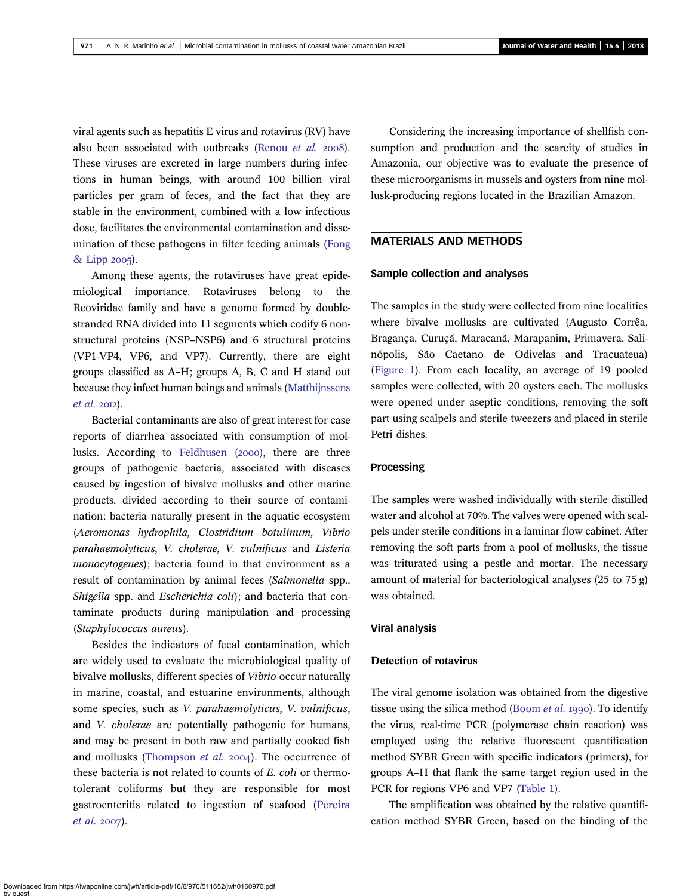viral agents such as hepatitis E virus and rotavirus (RV) have also been associated with outbreaks ([Renou](#page-9-0) et al. 2008). These viruses are excreted in large numbers during infections in human beings, with around 100 billion viral particles per gram of feces, and the fact that they are stable in the environment, combined with a low infectious dose, facilitates the environmental contamination and dissemination of these pathogens in filter feeding animals ([Fong](#page-9-0) [& Lipp](#page-9-0) 2005).

Among these agents, the rotaviruses have great epidemiological importance. Rotaviruses belong to the Reoviridae family and have a genome formed by doublestranded RNA divided into 11 segments which codify 6 nonstructural proteins (NSP–NSP6) and 6 structural proteins (VP1-VP4, VP6, and VP7). Currently, there are eight groups classified as A–H; groups A, B, C and H stand out because they infect human beings and animals [\(Matthijnssens](#page-9-0)  $et$  al. 2012).

Bacterial contaminants are also of great interest for case reports of diarrhea associated with consumption of mol-lusks. According to [Feldhusen \(](#page-9-0)2000), there are three groups of pathogenic bacteria, associated with diseases caused by ingestion of bivalve mollusks and other marine products, divided according to their source of contamination: bacteria naturally present in the aquatic ecosystem (Aeromonas hydrophila, Clostridium botulinum, Vibrio parahaemolyticus, V. cholerae, V. vulnificus and Listeria monocytogenes); bacteria found in that environment as a result of contamination by animal feces (Salmonella spp., Shigella spp. and Escherichia coli); and bacteria that contaminate products during manipulation and processing (Staphylococcus aureus).

Besides the indicators of fecal contamination, which are widely used to evaluate the microbiological quality of bivalve mollusks, different species of Vibrio occur naturally in marine, coastal, and estuarine environments, although some species, such as V. parahaemolyticus, V. vulnificus, and V. cholerae are potentially pathogenic for humans, and may be present in both raw and partially cooked fish and mollusks ([Thompson](#page-9-0)  $et$   $al.$  2004). The occurrence of these bacteria is not related to counts of E. coli or thermotolerant coliforms but they are responsible for most gastroenteritis related to ingestion of seafood ([Pereira](#page-9-0) [et al.](#page-9-0) 2007).

Considering the increasing importance of shellfish consumption and production and the scarcity of studies in Amazonia, our objective was to evaluate the presence of these microorganisms in mussels and oysters from nine mollusk-producing regions located in the Brazilian Amazon.

# MATERIALS AND METHODS

### Sample collection and analyses

The samples in the study were collected from nine localities where bivalve mollusks are cultivated (Augusto Corrêa, Bragança, Curuçá, Maracanã, Marapanim, Primavera, Salinópolis, São Caetano de Odivelas and Tracuateua) [\(Figure 1\)](#page-2-0). From each locality, an average of 19 pooled samples were collected, with 20 oysters each. The mollusks were opened under aseptic conditions, removing the soft part using scalpels and sterile tweezers and placed in sterile Petri dishes.

#### Processing

The samples were washed individually with sterile distilled water and alcohol at 70%. The valves were opened with scalpels under sterile conditions in a laminar flow cabinet. After removing the soft parts from a pool of mollusks, the tissue was triturated using a pestle and mortar. The necessary amount of material for bacteriological analyses (25 to 75 g) was obtained.

#### Viral analysis

## Detection of rotavirus

The viral genome isolation was obtained from the digestive tissue using the silica method ([Boom](#page-9-0) *et al.* 1990). To identify the virus, real-time PCR (polymerase chain reaction) was employed using the relative fluorescent quantification method SYBR Green with specific indicators (primers), for groups A–H that flank the same target region used in the PCR for regions VP6 and VP7 [\(Table 1](#page-2-0)).

The amplification was obtained by the relative quantification method SYBR Green, based on the binding of the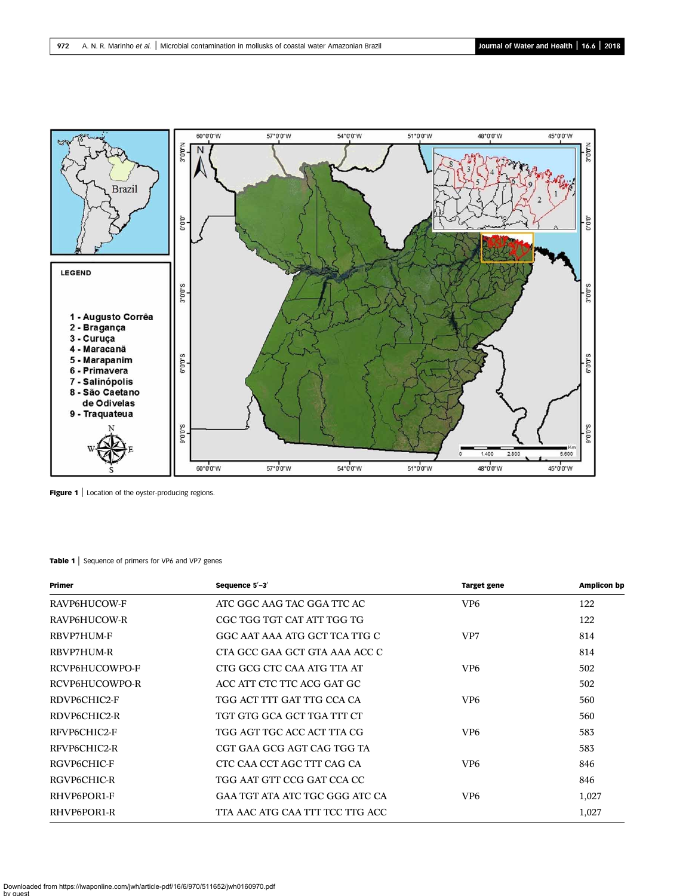<span id="page-2-0"></span>

Figure 1 | Location of the oyster-producing regions.

#### Table 1 | Sequence of primers for VP6 and VP7 genes

| Primer         | Sequence 5'-3'                  | <b>Target gene</b> | <b>Amplicon bp</b> |
|----------------|---------------------------------|--------------------|--------------------|
| RAVP6HUCOW-F   | ATC GGC AAG TAC GGA TTC AC      | VP <sub>6</sub>    | 122                |
| RAVP6HUCOW-R   | CGC TGG TGT CAT ATT TGG TG      |                    | 122                |
| RBVP7HUM-F     | GGC AAT AAA ATG GCT TCA TTG C   | VP7                | 814                |
| RBVP7HUM-R     | CTA GCC GAA GCT GTA AAA ACC C   |                    | 814                |
| RCVP6HUCOWPO-F | CTG GCG CTC CAA ATG TTA AT      | VP <sub>6</sub>    | 502                |
| RCVP6HUCOWPO-R | ACC ATT CTC TTC ACG GAT GC      |                    | 502                |
| RDVP6CHIC2-F   | TGG ACT TTT GAT TTG CCA CA      | VP <sub>6</sub>    | 560                |
| RDVP6CHIC2-R   | TGT GTG GCA GCT TGA TTT CT      |                    | 560                |
| RFVP6CHIC2-F   | TGG AGT TGC ACC ACT TTA CG      | VP <sub>6</sub>    | 583                |
| RFVP6CHIC2-R   | CGT GAA GCG AGT CAG TGG TA      |                    | 583                |
| RGVP6CHIC-F    | CTC CAA CCT AGC TTT CAG CA      | VP <sub>6</sub>    | 846                |
| RGVP6CHIC-R    | TGG AAT GTT CCG GAT CCA CC      |                    | 846                |
| RHVP6POR1-F    | GAA TGT ATA ATC TGC GGG ATC CA  | VP <sub>6</sub>    | 1,027              |
| RHVP6POR1-R    | TTA AAC ATG CAA TTT TCC TTG ACC |                    | 1,027              |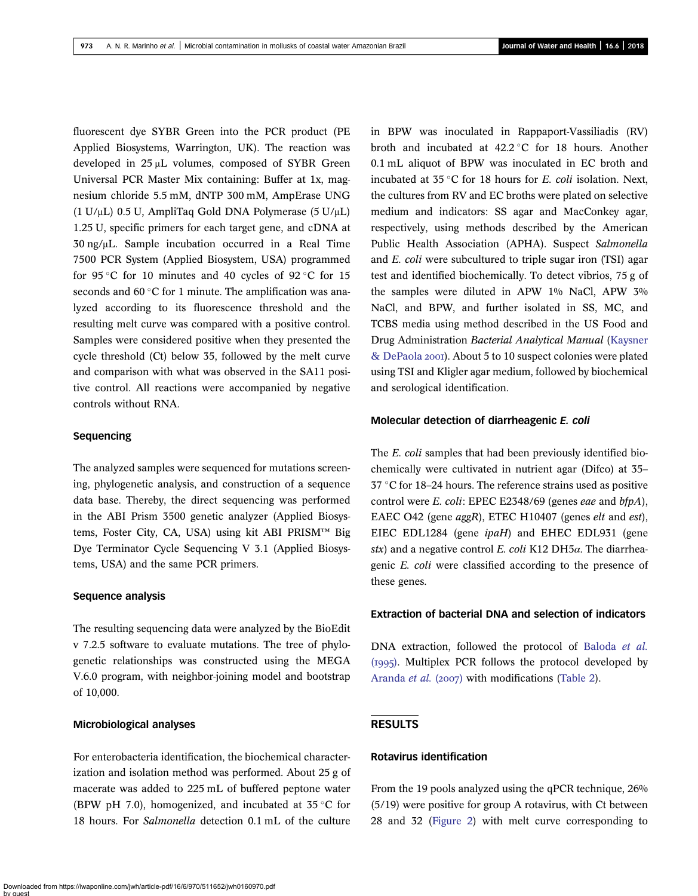fluorescent dye SYBR Green into the PCR product (PE Applied Biosystems, Warrington, UK). The reaction was developed in 25 μL volumes, composed of SYBR Green Universal PCR Master Mix containing: Buffer at 1x, magnesium chloride 5.5 mM, dNTP 300 mM, AmpErase UNG (1 U/μL) 0.5 U, AmpliTaq Gold DNA Polymerase (5 U/μL) 1.25 U, specific primers for each target gene, and cDNA at 30 ng/μL. Sample incubation occurred in a Real Time 7500 PCR System (Applied Biosystem, USA) programmed for 95 °C for 10 minutes and 40 cycles of 92 °C for 15 seconds and 60 $\degree$ C for 1 minute. The amplification was analyzed according to its fluorescence threshold and the resulting melt curve was compared with a positive control. Samples were considered positive when they presented the cycle threshold (Ct) below 35, followed by the melt curve and comparison with what was observed in the SA11 positive control. All reactions were accompanied by negative controls without RNA.

## Sequencing

The analyzed samples were sequenced for mutations screening, phylogenetic analysis, and construction of a sequence data base. Thereby, the direct sequencing was performed in the ABI Prism 3500 genetic analyzer (Applied Biosystems, Foster City, CA, USA) using kit ABI PRISM™ Big Dye Terminator Cycle Sequencing V 3.1 (Applied Biosystems, USA) and the same PCR primers.

## Sequence analysis

The resulting sequencing data were analyzed by the BioEdit v 7.2.5 software to evaluate mutations. The tree of phylogenetic relationships was constructed using the MEGA V.6.0 program, with neighbor-joining model and bootstrap of 10,000.

## Microbiological analyses

For enterobacteria identification, the biochemical characterization and isolation method was performed. About 25 g of macerate was added to 225 mL of buffered peptone water (BPW pH 7.0), homogenized, and incubated at  $35^{\circ}$ C for 18 hours. For Salmonella detection 0.1 mL of the culture

in BPW was inoculated in Rappaport-Vassiliadis (RV) broth and incubated at  $42.2^{\circ}$ C for 18 hours. Another 0.1 mL aliquot of BPW was inoculated in EC broth and incubated at  $35^{\circ}$ C for 18 hours for *E. coli* isolation. Next, the cultures from RV and EC broths were plated on selective medium and indicators: SS agar and MacConkey agar, respectively, using methods described by the American Public Health Association (APHA). Suspect Salmonella and E. coli were subcultured to triple sugar iron (TSI) agar test and identified biochemically. To detect vibrios, 75 g of the samples were diluted in APW 1% NaCl, APW 3% NaCl, and BPW, and further isolated in SS, MC, and TCBS media using method described in the US Food and Drug Administration Bacterial Analytical Manual [\(Kaysner](#page-9-0) [& DePaola](#page-9-0) 2001). About 5 to 10 suspect colonies were plated using TSI and Kligler agar medium, followed by biochemical and serological identification.

#### Molecular detection of diarrheagenic E. coli

The *E. coli* samples that had been previously identified biochemically were cultivated in nutrient agar (Difco) at 35–  $37 \text{ }^{\circ}\text{C}$  for 18–24 hours. The reference strains used as positive control were E. coli: EPEC E2348/69 (genes eae and bfpA), EAEC O42 (gene aggR), ETEC H10407 (genes elt and est), EIEC EDL1284 (gene ipaH) and EHEC EDL931 (gene stx) and a negative control E. coli K12 DH5 $\alpha$ . The diarrheagenic E. coli were classified according to the presence of these genes.

## Extraction of bacterial DNA and selection of indicators

DNA extraction, followed the protocol of [Baloda](#page-9-0) et al.  $(1995)$ . Multiplex PCR follows the protocol developed by [Aranda](#page-9-0) et al. (2007) with modifications [\(Table 2\)](#page-4-0).

# RESULTS

## Rotavirus identification

From the 19 pools analyzed using the qPCR technique, 26% (5/19) were positive for group A rotavirus, with Ct between 28 and 32 [\(Figure 2](#page-4-0)) with melt curve corresponding to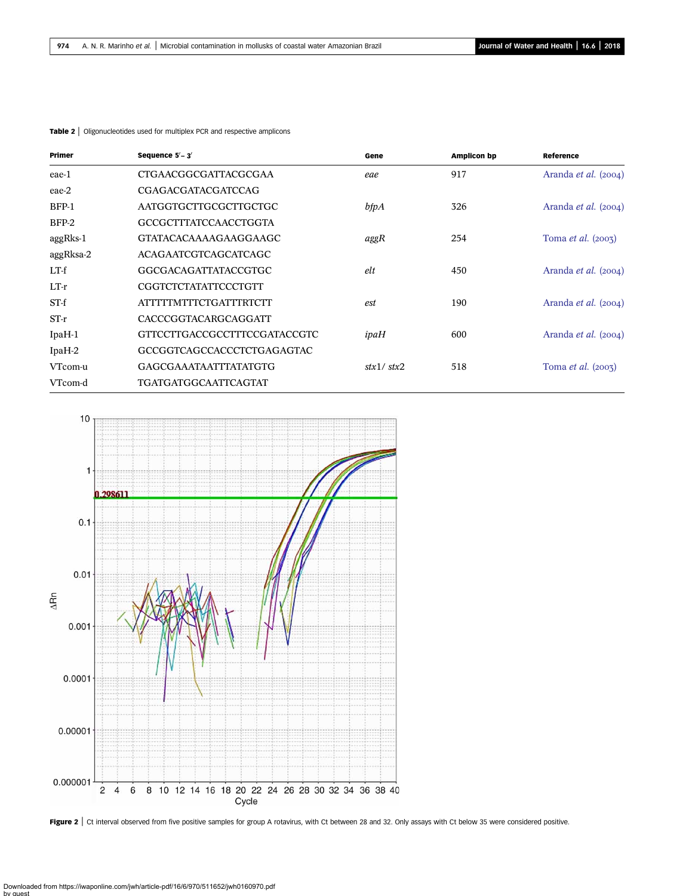| Primer    | Sequence $5'-3'$              | Gene                       | <b>Amplicon bp</b> | Reference<br>Aranda et al. (2004) |  |
|-----------|-------------------------------|----------------------------|--------------------|-----------------------------------|--|
| eae-1     | CTGAACGGCGATTACGCGAA          | eae                        | 917                |                                   |  |
| eae-2     | <b>CGAGACGATACGATCCAG</b>     |                            |                    |                                   |  |
| $BFP-1$   | AATGGTGCTTGCGCTTGCTGC         | bfpA                       | 326                | Aranda et al. (2004)              |  |
| $BFP-2$   | GCCGCTTTATCCAACCTGGTA         |                            |                    |                                   |  |
| aggRks-1  | GTATACACAAAAGAAGGAAGC         | aggR                       | 254                | Toma <i>et al.</i> $(2003)$       |  |
| aggRksa-2 | ACAGAATCGTCAGCATCAGC          |                            |                    |                                   |  |
| $LT-f$    | GGCGACAGATTATACCGTGC          | elt                        | 450                | Aranda et al. (2004)              |  |
| $LT-r$    | CGGTCTCTATATTCCCTGTT          |                            |                    |                                   |  |
| $ST-f$    | <b>ATTTTTMTTTCTGATTTRTCTT</b> | est                        | 190                | Aranda et al. (2004)              |  |
| $ST-r$    | CACCCGGTACARGCAGGATT          |                            |                    |                                   |  |
| IpaH-1    | GTTCCTTGACCGCCTTTCCGATACCGTC  | ipaH                       | 600                | Aranda et al. (2004)              |  |
| IpaH-2    | GCCGGTCAGCCACCCTCTGAGAGTAC    |                            |                    |                                   |  |
| VTcom-u   | <b>GAGCGAAATAATTTATATGTG</b>  | $\frac{stx1}{\text{stx2}}$ | 518                | Toma <i>et al.</i> $(2007)$       |  |
| VTcom-d   | <b>TGATGATGGCAATTCAGTAT</b>   |                            |                    |                                   |  |

<span id="page-4-0"></span>Table 2 | Oligonucleotides used for multiplex PCR and respective amplicons



Figure 2 | Ct interval observed from five positive samples for group A rotavirus, with Ct between 28 and 32. Only assays with Ct below 35 were considered positive.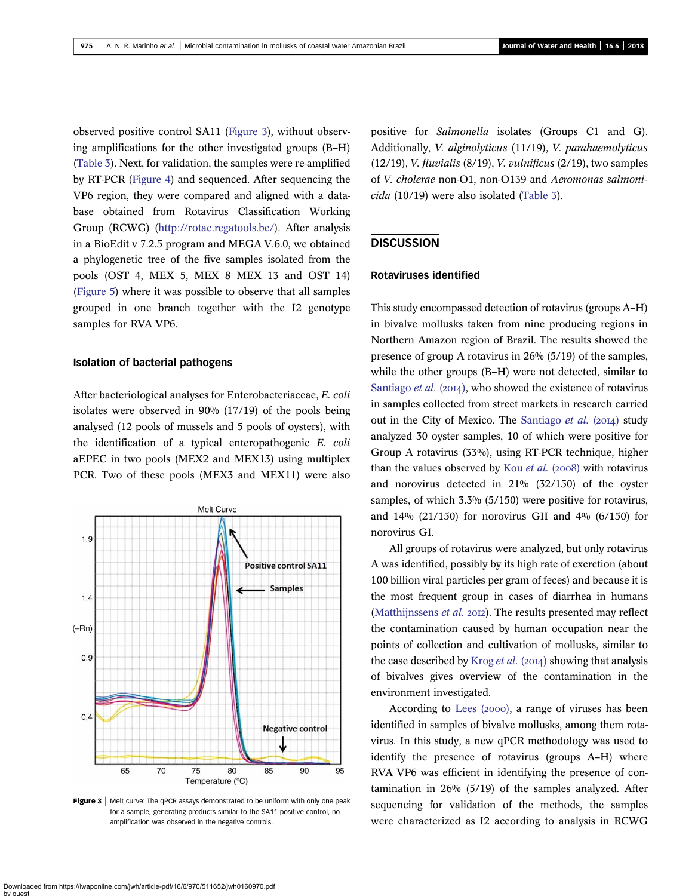observed positive control SA11 (Figure 3), without observing amplifications for the other investigated groups (B–H) [\(Table 3\)](#page-6-0). Next, for validation, the samples were re-amplified by RT-PCR [\(Figure 4](#page-7-0)) and sequenced. After sequencing the VP6 region, they were compared and aligned with a database obtained from Rotavirus Classification Working Group (RCWG) [\(http://rotac.regatools.be/\)](http://rotac.regatools.be/). After analysis in a BioEdit v 7.2.5 program and MEGA V.6.0, we obtained a phylogenetic tree of the five samples isolated from the pools (OST 4, MEX 5, MEX 8 MEX 13 and OST 14) [\(Figure 5\)](#page-8-0) where it was possible to observe that all samples grouped in one branch together with the I2 genotype samples for RVA VP6.

#### Isolation of bacterial pathogens

After bacteriological analyses for Enterobacteriaceae, E. coli isolates were observed in 90% (17/19) of the pools being analysed (12 pools of mussels and 5 pools of oysters), with the identification of a typical enteropathogenic E. coli aEPEC in two pools (MEX2 and MEX13) using multiplex PCR. Two of these pools (MEX3 and MEX11) were also



**Figure 3** Melt curve: The qPCR assays demonstrated to be uniform with only one peak for a sample, generating products similar to the SA11 positive control, no amplification was observed in the negative controls.

positive for Salmonella isolates (Groups C1 and G). Additionally, V. alginolyticus (11/19), V. parahaemolyticus (12/19), *V. fluvialis* (8/19), *V. vulnificus* (2/19), two samples of V. cholerae non-O1, non-O139 and Aeromonas salmonicida (10/19) were also isolated [\(Table 3\)](#page-6-0).

## **DISCUSSION**

## Rotaviruses identified

This study encompassed detection of rotavirus (groups A–H) in bivalve mollusks taken from nine producing regions in Northern Amazon region of Brazil. The results showed the presence of group A rotavirus in 26% (5/19) of the samples, while the other groups (B–H) were not detected, similar to [Santiago](#page-9-0) *et al.* (2014), who showed the existence of rotavirus in samples collected from street markets in research carried out in the City of Mexico. The [Santiago](#page-9-0) et al.  $(2014)$  study analyzed 30 oyster samples, 10 of which were positive for Group A rotavirus (33%), using RT-PCR technique, higher than the values observed by Kou *[et al.](#page-9-0)* (2008) with rotavirus and norovirus detected in 21% (32/150) of the oyster samples, of which 3.3% (5/150) were positive for rotavirus, and 14% (21/150) for norovirus GII and 4% (6/150) for norovirus GI.

All groups of rotavirus were analyzed, but only rotavirus A was identified, possibly by its high rate of excretion (about 100 billion viral particles per gram of feces) and because it is the most frequent group in cases of diarrhea in humans [\(Matthijnssens](#page-9-0)  $et$   $al.$  2012). The results presented may reflect the contamination caused by human occupation near the points of collection and cultivation of mollusks, similar to the case described by [Krog](#page-9-0) et al.  $(20I4)$  showing that analysis of bivalves gives overview of the contamination in the environment investigated.

According to [Lees \(](#page-9-0)2000), a range of viruses has been identified in samples of bivalve mollusks, among them rotavirus. In this study, a new qPCR methodology was used to identify the presence of rotavirus (groups A–H) where RVA VP6 was efficient in identifying the presence of contamination in 26% (5/19) of the samples analyzed. After sequencing for validation of the methods, the samples were characterized as I2 according to analysis in RCWG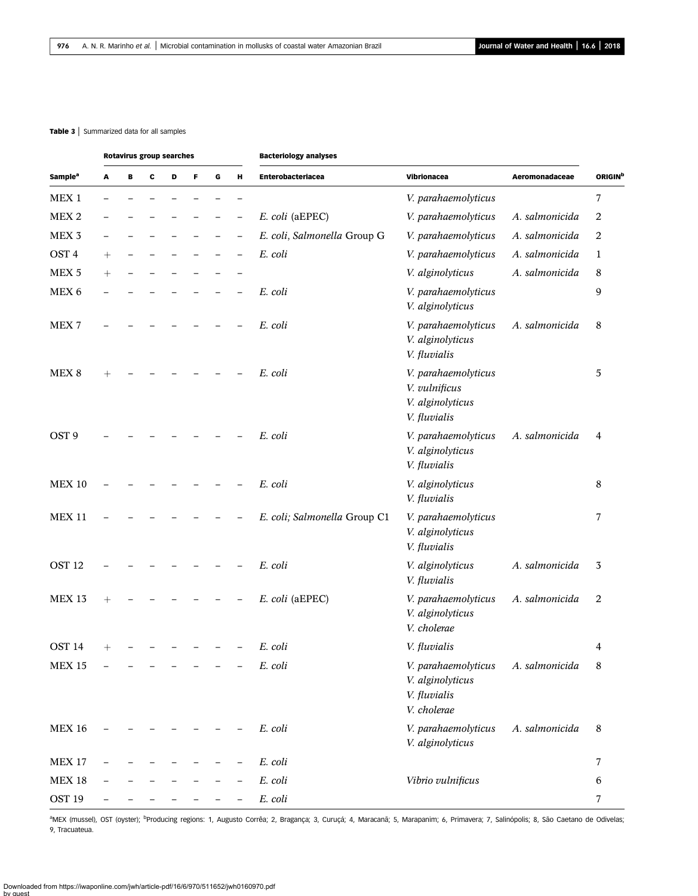#### <span id="page-6-0"></span>Table 3 | Summarized data for all samples

|                            | <b>Rotavirus group searches</b> |   |   |   |   |   |   | <b>Bacteriology analyses</b> |                                                                                       |                |                |
|----------------------------|---------------------------------|---|---|---|---|---|---|------------------------------|---------------------------------------------------------------------------------------|----------------|----------------|
| <b>Sample</b> <sup>a</sup> | A                               | В | c | D | F | G | н | Enterobacteriacea            | Vibrionacea                                                                           | Aeromonadaceae | <b>ORIGIN</b>  |
| MEX <sub>1</sub>           |                                 |   |   |   |   |   |   |                              | V. parahaemolyticus                                                                   |                | 7              |
| MEX <sub>2</sub>           |                                 |   |   |   |   |   |   | E. coli (aEPEC)              | V. parahaemolyticus                                                                   | A. salmonicida | 2              |
| MEX <sub>3</sub>           |                                 |   |   |   |   |   |   | E. coli, Salmonella Group G  | V. parahaemolyticus                                                                   | A. salmonicida | 2              |
| OST <sub>4</sub>           | $\hspace{0.1mm} +$              |   |   |   |   |   |   | E. coli                      | V. parahaemolyticus                                                                   | A. salmonicida | 1              |
| MEX <sub>5</sub>           | $\hspace{0.1mm} +$              |   |   |   |   |   |   |                              | V. alginolyticus                                                                      | A. salmonicida | 8              |
| MEX 6                      |                                 |   |   |   |   |   |   | E. coli                      | V. parahaemolyticus<br>V. alginolyticus                                               |                | 9              |
| MEX <sub>7</sub>           |                                 |   |   |   |   |   |   | E. coli                      | V. parahaemolyticus<br>V. alginolyticus<br>V. fluvialis                               | A. salmonicida | 8              |
| MEX <sub>8</sub>           | $^{+}$                          |   |   |   |   |   |   | E. coli                      | V. parahaemolyticus<br>V. vulnificus<br>V. alginolyticus<br>V. fluvialis              |                | 5              |
| OST <sub>9</sub>           |                                 |   |   |   |   |   |   | E. coli                      | V. parahaemolyticus<br>V. alginolyticus<br>V. fluvialis                               | A. salmonicida | $\overline{4}$ |
| <b>MEX 10</b>              |                                 |   |   |   |   |   |   | E. coli                      | V. alginolyticus<br>V. fluvialis                                                      |                | 8              |
| <b>MEX 11</b>              |                                 |   |   |   |   |   |   | E. coli; Salmonella Group C1 | V. parahaemolyticus<br>V. alginolyticus<br>V. fluvialis                               |                | 7              |
| OST <sub>12</sub>          |                                 |   |   |   |   |   |   | E. coli                      | V. alginolyticus<br>V. fluvialis                                                      | A. salmonicida | 3              |
| <b>MEX 13</b>              | $^{+}$                          |   |   |   |   |   |   | E. coli (aEPEC)              | V. parahaemolyticus<br>V. alginolyticus<br>V. cholerae                                | A. salmonicida | 2              |
| OST <sub>14</sub>          |                                 |   |   |   |   |   |   | E. coli                      | V. fluvialis                                                                          |                | 4              |
| <b>MEX 15</b>              |                                 |   |   |   |   |   |   | E. coli                      | V. parahaemolyticus A. salmonicida<br>V. alginolyticus<br>V. fluvialis<br>V. cholerae |                | 8              |
| <b>MEX 16</b>              |                                 |   |   |   |   |   |   | E. coli                      | V. parahaemolyticus<br>V. alginolyticus                                               | A. salmonicida | 8              |
| <b>MEX 17</b>              |                                 |   |   |   |   |   |   | E. coli                      |                                                                                       |                | $\overline{7}$ |
| <b>MEX 18</b>              |                                 |   |   |   |   |   |   | E. coli                      | Vibrio vulnificus                                                                     |                | $\,6\,$        |
| OST <sub>19</sub>          |                                 |   |   |   |   |   |   | $\it E.~coli$                |                                                                                       |                | 7              |

aMEX (mussel), OST (oyster); <sup>b</sup>Producing regions: 1, Augusto Corrêa; 2, Bragança; 3, Curuçá; 4, Maracanã; 5, Marapanim; 6, Primavera; 7, Salinópolis; 8, São Caetano de Odivelas; 9, Tracuateua.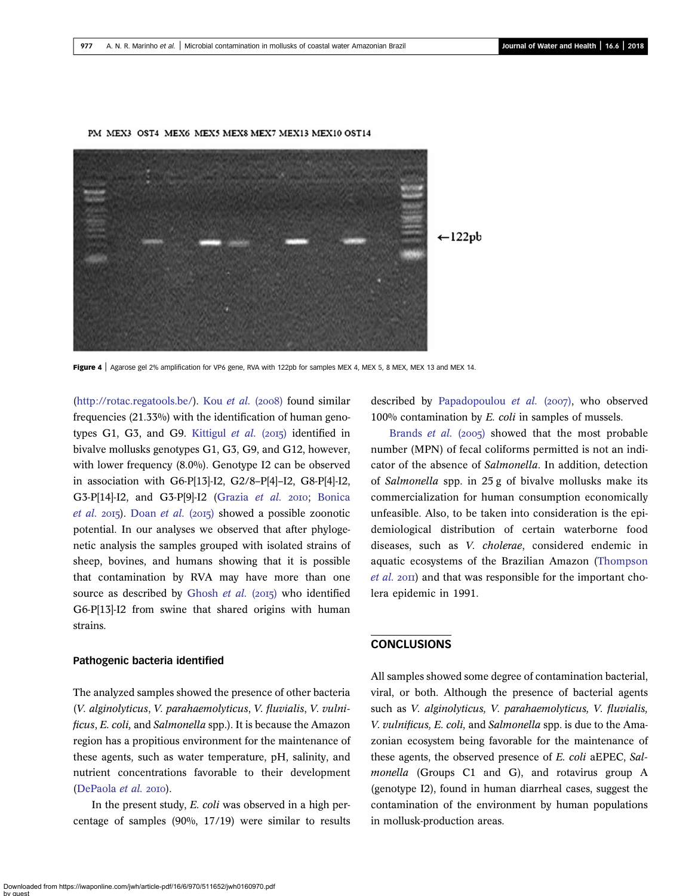<span id="page-7-0"></span>

PM MEX3 OST4 MEX6 MEX5 MEX8 MEX7 MEX13 MEX10 OST14

[\(http://rotac.regatools.be/](http://rotac.regatools.be/)). Kou [et al.](#page-9-0) (2008) found similar frequencies (21.33%) with the identification of human geno-types G1, G3, and G9. [Kittigul](#page-9-0) et al.  $(2015)$  identified in bivalve mollusks genotypes G1, G3, G9, and G12, however, with lower frequency (8.0%). Genotype I2 can be observed in association with G6-P[13]-I2, G2/8–P[4]–I2, G8-P[4]-I2, G3-P[14]-I2, and G3-P[9]-I2 ([Grazia](#page-9-0) et al. 2010; [Bonica](#page-9-0) [et al.](#page-9-0) 2015). [Doan](#page-9-0) et al. (2015) showed a possible zoonotic potential. In our analyses we observed that after phylogenetic analysis the samples grouped with isolated strains of sheep, bovines, and humans showing that it is possible that contamination by RVA may have more than one source as described by [Ghosh](#page-9-0) et al.  $(2015)$  who identified G6-P[13]-I2 from swine that shared origins with human strains.

#### Pathogenic bacteria identified

The analyzed samples showed the presence of other bacteria (V. alginolyticus, V. parahaemolyticus, V. fluvialis, V. vulnificus, E. coli, and Salmonella spp.). It is because the Amazon region has a propitious environment for the maintenance of these agents, such as water temperature, pH, salinity, and nutrient concentrations favorable to their development [\(DePaola](#page-9-0) et al. 2010).

In the present study, E. coli was observed in a high percentage of samples (90%, 17/19) were similar to results described by [Papadopoulou](#page-9-0)  $et$   $al.$  (2007), who observed 100% contamination by E. coli in samples of mussels.

[Brands](#page-9-0) *et al.* (2005) showed that the most probable number (MPN) of fecal coliforms permitted is not an indicator of the absence of Salmonella. In addition, detection of Salmonella spp. in 25 g of bivalve mollusks make its commercialization for human consumption economically unfeasible. Also, to be taken into consideration is the epidemiological distribution of certain waterborne food diseases, such as V. cholerae, considered endemic in aquatic ecosystems of the Brazilian Amazon ([Thompson](#page-9-0)  $et$  al.  $2$ OII) and that was responsible for the important cholera epidemic in 1991.

## **CONCLUSIONS**

All samples showed some degree of contamination bacterial, viral, or both. Although the presence of bacterial agents such as V. alginolyticus, V. parahaemolyticus, V. fluvialis, V. vulnificus, E. coli, and Salmonella spp. is due to the Amazonian ecosystem being favorable for the maintenance of these agents, the observed presence of E. coli aEPEC, Salmonella (Groups C1 and G), and rotavirus group A (genotype I2), found in human diarrheal cases, suggest the contamination of the environment by human populations in mollusk-production areas.

Figure 4 | Agarose gel 2% amplification for VP6 gene, RVA with 122pb for samples MEX 4, MEX 5, 8 MEX, MEX 13 and MEX 14.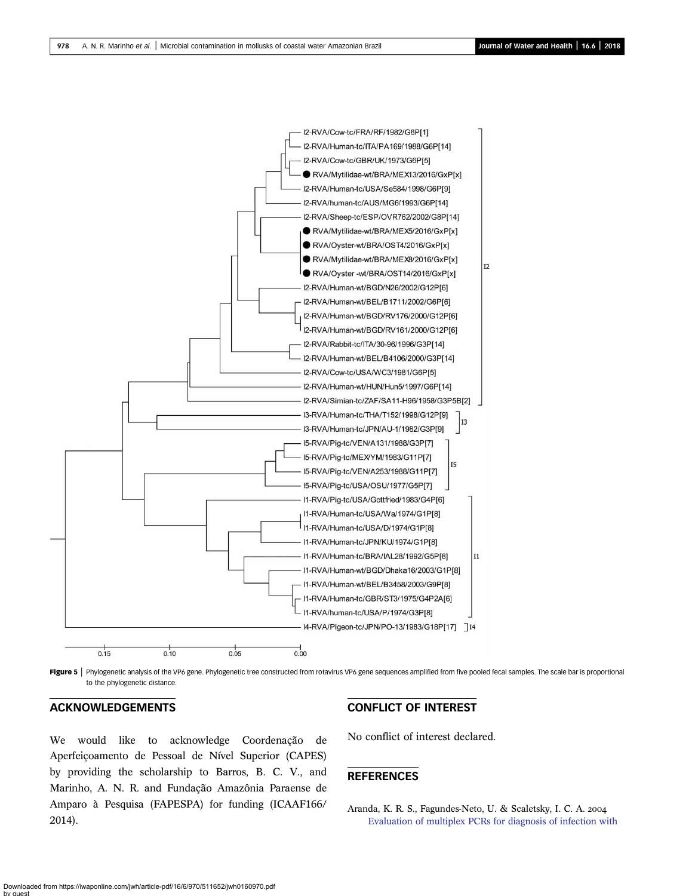<span id="page-8-0"></span>

Figure 5 | Phylogenetic analysis of the VP6 gene. Phylogenetic tree constructed from rotavirus VP6 gene sequences amplified from five pooled fecal samples. The scale bar is proportional to the phylogenetic distance.

# ACKNOWLEDGEMENTS

We would like to acknowledge Coordenação de Aperfeiçoamento de Pessoal de Nível Superior (CAPES) by providing the scholarship to Barros, B. C. V., and Marinho, A. N. R. and Fundação Amazônia Paraense de Amparo à Pesquisa (FAPESPA) for funding (ICAAF166/ 2014).

# CONFLICT OF INTEREST

No conflict of interest declared.

# REFERENCES

Aranda, K. R. S., Fagundes-Neto, U. & Scaletsky, I. C. A. [Evaluation of multiplex PCRs for diagnosis of infection with](http://dx.doi.org/10.1128/JCM.42.12.5849-5853.2004)